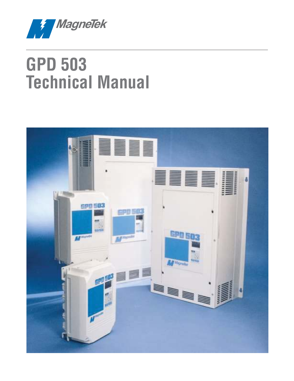

# **GPD 503 Technical Manual**

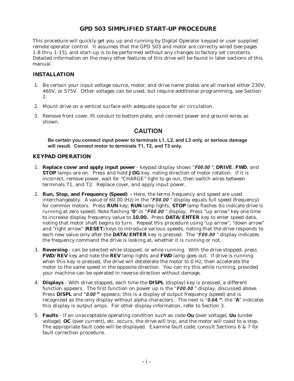# **GPD 503 SIMPLIFIED START-UP PROCEDURE**

This procedure will quickly get you up and running by Digital Operator keypad or user supplied remote operator control. It assumes that the GPD 503 and motor are correctly wired (see pages 1-8 thru 1-15), and start-up is to be performed without any changes to factory set constants. Detailed information on the many other features of this drive will be found in later sections of this manual.

#### **INSTALLATION**

- 1. Be certain your input voltage source, motor, and drive name plates are all marked either 230V, 460V, or 575V. Other voltages can be used, but require additional programming, see Section 2.
- 2. Mount drive on a vertical surface with adequate space for air circulation.
- 3. Remove front cover, fit conduit to bottom plate, and connect power and ground wires as shown.

## **CAUTION**

**Be certain you connect input power to terminals L1, L2, and L3 only, or serious damage will result. Connect motor to terminals T1, T2, and T3 only.**

#### **KEYPAD OPERATION**

- 1. **Replace cover and apply input power** keypad display shows "**F00.00** "; **DRIVE**, **FWD**, and **STOP** lamps are on. Press and hold **JOG** key, noting direction of motor rotation. If it is incorrect, remove power, wait for "CHARGE" light to go out, then switch wires between terminals T1, and T2. Replace cover, and apply input power.
- 2. **Run, Stop, and Frequency (Speed)** Here, the terms frequency and speed are used interchangeably. A value of 60.00 (Hz) in the "**F00.00** " display equals full speed (frequency) for common motors. Press **RUN** key; **RUN** lamp lights, **STOP** lamp flashes (to indicate drive is running at zero speed). Note flashing "**0**" in "**F00.00** " display. Press "up arrow" key one time to increase display frequency value to **10.00.** Press **DATA/ENTER** key to enter speed data, noting that motor shaft begins to turn. Repeat this procedure using "up arrow", "down arrow" and "right arrow" (**RESET**) keys to introduce various speeds, noting that the drive responds to each new value only after the **DATA/ENTER** key is pressed. The "**F00.00** " display indicates the frequency command the drive is looking at, whether it is running or not.
- 3. **Reversing** can be selected while stopped, or while running. With the drive stopped, press **FWD/REV** key and note the **REV** lamp lights and **FWD** lamp goes out. If drive is running when this key is pressed, the drive will decelerate the motor to 0 Hz, then accelerate the motor to the same speed in the opposite direction. You can try this while running, provided your machine can be operated in reverse direction without damage.
- 4. **Displays** With drive stopped, each time the **DISPL** (display) key is pressed, a different function appears. The first function on power up is the "**F00.00** " display, discussed above. Press **DISPL** and "**0.00 "** appears; this is a display of output frequency (speed) and is recognized as the only display without alpha characters. The next is "**0.0A "**; the "**A**" indicates this display is output amps. For other display information, refer to Section 3.
- 5. **Faults** If an unacceptable operating condition such as code **Ou** (over voltage), **Uu** (under voltage), **OC** (over current), etc. occurs, the drive will trip, and the motor will coast to a stop. The appropriate fault code will be displayed. Examine fault code; consult Sections 6 & 7 for fault correction procedure.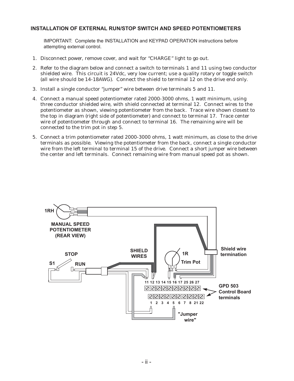#### **INSTALLATION OF EXTERNAL RUN/STOP SWITCH AND SPEED POTENTIOMETERS**

IMPORTANT: Complete the INSTALLATION and KEYPAD OPERATION instructions before attempting external control.

- 1. Disconnect power, remove cover, and wait for "CHARGE" light to go out.
- 2. Refer to the diagram below and connect a switch to terminals 1 and 11 using two conductor shielded wire. This circuit is 24Vdc, very low current; use a quality rotary or toggle switch (all wire should be 14-18AWG). Connect the shield to terminal 12 on the drive end only.
- 3. Install a single conductor "jumper" wire between drive terminals 5 and 11.
- 4. Connect a manual speed potentiometer rated 2000-3000 ohms, 1 watt minimum, using three conductor shielded wire, with shield connected at terminal 12. Connect wires to the potentiometer as shown, viewing potentiometer from the back. Trace wire shown closest to the top in diagram (right side of potentiometer) and connect to terminal 17. Trace center wire of potentiometer through and connect to terminal 16. The remaining wire will be connected to the trim pot in step 5.
- 5. Connect a trim potentiometer rated 2000-3000 ohms, 1 watt minimum, as close to the drive terminals as possible. Viewing the potentiometer from the back, connect a single conductor wire from the left terminal to terminal 15 of the drive. Connect a short jumper wire between the center and left terminals. Connect remaining wire from manual speed pot as shown.

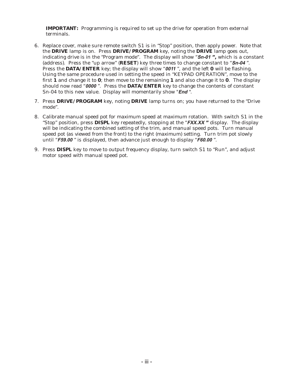**IMPORTANT:** Programming is required to set up the drive for operation from external terminals.

- 6. Replace cover, make sure remote switch S1 is in "Stop" position, then apply power. Note that the **DRIVE** lamp is on. Press **DRIVE/PROGRAM** key, noting the **DRIVE** lamp goes out, indicating drive is in the "Program mode". The display will show "**Sn-01 ",** which is a constant (address). Press the "up arrow" (**RESET**) key three times to change constant to "**Sn-04** ". Press the **DATA/ENTER** key; the display will show "**0011** ", and the left **0** will be flashing. Using the same procedure used in setting the speed in "KEYPAD OPERATION", move to the first **1** and change it to **0**; then move to the remaining **1** and also change it to **0**. The display should now read "**0000** ". Press the **DATA/ENTER** key to change the contents of constant Sn-04 to this new value. Display will momentarily show "**End** ".
- 7. Press **DRIVE/PROGRAM** key, noting **DRIVE** lamp turns on; you have returned to the "Drive mode".
- 8. Calibrate manual speed pot for maximum speed at maximum rotation. With switch S1 in the "Stop" position, press **DISPL** key repeatedly, stopping at the "**FXX.XX "** display. The display will be indicating the combined setting of the trim, and manual speed pots. Turn manual speed pot (as viewed from the front) to the right (maximum) setting. Turn trim pot slowly until "**F59.00** " is displayed, then advance just enough to display "**F60.00** ".
- 9. Press **DISPL** key to move to output frequency display, turn switch S1 to "Run", and adjust motor speed with manual speed pot.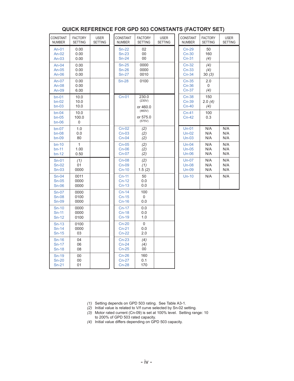| <b>CONSTANT</b><br><b>NUMBER</b> | <b>FACTORY</b><br><b>SETTING</b> | <b>USER</b><br><b>SETTING</b> | <b>CONSTANT</b><br><b>NUMBER</b> | <b>FACTORY</b><br><b>SETTING</b> | <b>USER</b><br><b>SETTING</b> | <b>CONSTANT</b><br><b>NUMBER</b> | <b>FACTORY</b><br><b>SETTING</b> | <b>USER</b><br><b>SETTING</b> |
|----------------------------------|----------------------------------|-------------------------------|----------------------------------|----------------------------------|-------------------------------|----------------------------------|----------------------------------|-------------------------------|
| $An-01$<br>An- $02$<br>$An-03$   | 0.00<br>0.00<br>0.00             |                               | $Sn-22$<br>$Sn-23$<br>$Sn-24$    | 02<br>00<br>00                   |                               | $Cn-29$<br>$Cn-30$<br>$Cn-31$    | 50<br>160<br>(4)                 |                               |
| An- $04$<br>An- $05$<br>An- $06$ | 0.00<br>0.00<br>0.00             |                               | $Sn-25$<br>$Sn-26$<br>$Sn-27$    | 0000<br>0000<br>0010             |                               | $Cn-32$<br>$Cn-33$<br>$Cn-34$    | (4)<br>(4)<br>30(3)              |                               |
| An-07<br>An- $08$<br>An- $09$    | 0.00<br>0.00<br>6.00             |                               | $Sn-28$                          | 0100                             |                               | $Cn-35$<br>$Cn-36$<br>$Cn-37$    | 2.0<br>0<br>(4)                  |                               |
| $bn-01$<br>$bn-02$<br>$bn-03$    | 10.0<br>10.0<br>10.0             |                               | $Cn-01$                          | 230.0<br>(230V)<br>or 460.0      |                               | $Cn-38$<br>$Cn-39$<br>$Cn-40$    | 150<br>2.0(4)<br>(4)             |                               |
| $bn-04$<br>$bn-05$<br>$bn-06$    | 10.0<br>100.0<br>0               |                               |                                  | (460V)<br>or 575.0<br>(575V)     |                               | $Cn-41$<br>$Cn-42$               | 100<br>0.3                       |                               |
| $bn-07$<br>$bn-08$<br>$bn-09$    | 1.0<br>0.0<br>80                 |                               | $Cn-02$<br>$Cn-03$<br>$Cn-04$    | (2)<br>(2)<br>(2)                |                               | $Un-01$<br>$Un-02$<br>$Un-03$    | N/A<br>N/A<br>N/A                | N/A<br>N/A<br>N/A             |
| $bn-10$<br>$bn-11$<br>$bn-12$    | $\mathbf{1}$<br>1.00<br>0.50     |                               | $Cn-05$<br>$Cn-06$<br>$Cn-07$    | (2)<br>(2)<br>(2)                |                               | $Un-04$<br>$Un-05$<br>$Un-06$    | N/A<br>N/A<br>N/A                | N/A<br>N/A<br>N/A             |
| $Sn-01$<br>$Sn-02$<br>$Sn-03$    | (1)<br>01<br>0000                |                               | $Cn-08$<br>$Cn-09$<br>$Cn-10$    | (2)<br>(1)<br>1.5(2)             |                               | $Un-07$<br>$Un-08$<br>$Un-09$    | N/A<br>N/A<br>N/A                | N/A<br>N/A<br>N/A             |
| $Sn-04$<br>$Sn-05$<br>$Sn-06$    | 0011<br>0000<br>0000             |                               | $Cn-11$<br>$Cn-12$<br>$Cn-13$    | 50<br>0.0<br>0.0                 |                               | $Un-10$                          | N/A                              | N/A                           |
| $Sn-07$<br>$Sn-08$<br>$Sn-09$    | 0000<br>0100<br>0000             |                               | $Cn-14$<br>$Cn-15$<br>$Cn-16$    | 100<br>0<br>0.0                  |                               |                                  |                                  |                               |
| $Sn-10$<br>$Sn-11$<br>$Sn-12$    | 0000<br>0000<br>0100             |                               | $Cn-17$<br>$Cn-18$<br>$Cn-19$    | 0.0<br>0.0<br>1.0                |                               |                                  |                                  |                               |
| $Sn-13$<br>$Sn-14$<br>$Sn-15$    | 0100<br>0000<br>03               |                               | $Cn-20$<br>$Cn-21$<br>$Cn-22$    | 0<br>0.0<br>2.0                  |                               |                                  |                                  |                               |
| $Sn-16$<br>$Sn-17$<br>$Sn-18$    | 04<br>06<br>08                   |                               | $Cn-23$<br>$Cn-24$<br>$Cn-25$    | (4)<br>(4)<br>00                 |                               |                                  |                                  |                               |
| $Sn-19$<br>$Sn-20$<br>$Sn-21$    | 00<br>00<br>01                   |                               | $Cn-26$<br>$Cn-27$<br>$Cn-28$    | 160<br>0.1<br>170                |                               |                                  |                                  |                               |

## **QUICK REFERENCE FOR GPD 503 CONSTANTS (FACTORY SET)**

(1) Setting depends on GPD 503 rating. See Table A3-1.

(2) Initial value is related to V/f curve selected by Sn-02 setting.

- (3) Motor rated current (Cn-09) is set at 100% level. Setting range: 10 to 200% of GPD 503 rated capacity.
- (4) Initial value differs depending on GPD 503 capacity.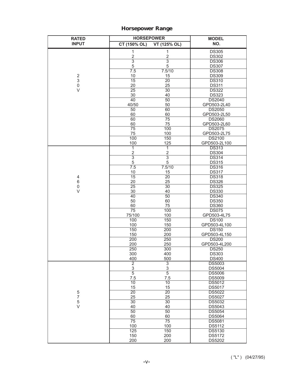# **Horsepower Range**

| <b>RATED</b>                            | <b>HORSEPOWER</b>     |                       | <b>MODEL</b>                  |  |  |
|-----------------------------------------|-----------------------|-----------------------|-------------------------------|--|--|
| <b>INPUT</b>                            | CT (150% OL)          | VT (125% OL)          | NO.                           |  |  |
|                                         | $\mathbf{1}$          | $\mathbf{1}$          | <b>DS305</b>                  |  |  |
|                                         | $\overline{2}$        | $\overline{2}$        | <b>DS302</b>                  |  |  |
|                                         | $\overline{3}$        | $\overline{3}$        | <b>DS306</b>                  |  |  |
|                                         | 5                     | 5                     | <b>DS307</b>                  |  |  |
|                                         | 7.5                   | 7.5/10                | <b>DS308</b>                  |  |  |
| $\sqrt{2}$<br>$\ensuremath{\mathsf{3}}$ | 10<br>$\overline{15}$ | 15<br>$\overline{20}$ | <b>DS309</b><br><b>DS310</b>  |  |  |
| $\mathsf{O}\xspace$                     | 20                    | 25                    | <b>DS311</b>                  |  |  |
| $\vee$                                  | $\overline{25}$       | $\overline{30}$       | <b>DS322</b>                  |  |  |
|                                         | 30                    | 40                    | <b>DS323</b>                  |  |  |
|                                         | 40                    | $\overline{50}$       | <b>DS2040</b>                 |  |  |
|                                         | 40/50                 | 50                    | GPD503-2L40                   |  |  |
|                                         | 50                    | 60                    | <b>DS2050</b>                 |  |  |
|                                         | 60                    | 60                    | GPD503-2L50                   |  |  |
|                                         | 60                    | 75                    | <b>DS2060</b>                 |  |  |
|                                         | 60<br>75              | 75<br>100             | GPD503-2L60<br><b>DS2075</b>  |  |  |
|                                         | 75                    | 100                   | GPD503-2L75                   |  |  |
|                                         | 100                   | 150                   | <b>DS2100</b>                 |  |  |
|                                         | 100                   | 125                   | GPD503-2L100                  |  |  |
|                                         | ī                     | 1                     | <b>DS313</b>                  |  |  |
|                                         | $\frac{2}{3}$         | $\overline{2}$        | <b>DS304</b>                  |  |  |
|                                         |                       | $\overline{3}$        | <b>DS314</b>                  |  |  |
|                                         | 5                     | 5                     | <b>DS315</b>                  |  |  |
|                                         | 7.5                   | 7.5/10                | <b>DS316</b>                  |  |  |
| $\overline{\mathbf{4}}$                 | 10<br>$\overline{15}$ | 15<br>$\overline{20}$ | <b>DS317</b><br><b>DS318</b>  |  |  |
| 6                                       | 20                    | 25                    | <b>DS326</b>                  |  |  |
| $\mathsf 0$                             | $\overline{25}$       | $\overline{30}$       | <b>DS325</b>                  |  |  |
| $\vee$                                  | 30                    | 40                    | <b>DS330</b>                  |  |  |
|                                         | 40                    | 50                    | <b>DS340</b>                  |  |  |
|                                         | 50                    | 60                    | <b>DS350</b>                  |  |  |
|                                         | 60                    | 75                    | <b>DS360</b>                  |  |  |
|                                         | 75                    | 100                   | <b>DS075</b>                  |  |  |
|                                         | 75/100<br>100         | 100<br>150            | GPD503-4L75<br><b>DS100</b>   |  |  |
|                                         | 100                   | 150                   | GPD503-4L100                  |  |  |
|                                         | 150                   | 200                   | <b>DS150</b>                  |  |  |
|                                         | 150                   | 200                   | GPD503-4L150                  |  |  |
|                                         | 200                   | 250                   | <b>DS200</b>                  |  |  |
|                                         | 200                   | 250                   | GPD503-4L200                  |  |  |
|                                         | 250                   | 300                   | <b>DS250</b>                  |  |  |
|                                         | 300                   | 400                   | <b>DS303</b>                  |  |  |
|                                         | 400<br>$\overline{2}$ | 500<br>$\overline{3}$ | <b>DS400</b><br><b>DS5003</b> |  |  |
|                                         | $\overline{3}$        | 3                     | <b>DS5004</b>                 |  |  |
|                                         | $\overline{5}$        | $\overline{5}$        | <b>DS5006</b>                 |  |  |
|                                         | 7.5                   | 7.5                   | DS5009                        |  |  |
|                                         | 10                    | 10                    | <b>DS5012</b>                 |  |  |
|                                         | 15                    | 15                    | <b>DS5017</b>                 |  |  |
| 5                                       | $\overline{20}$       | $\overline{20}$       | <b>DS5022</b>                 |  |  |
| $\overline{7}$                          | 25                    | 25                    | <b>DS5027</b>                 |  |  |
| 5<br>$\vee$                             | $\overline{30}$       | $\overline{30}$<br>40 | <b>DS5032</b><br>DS5043       |  |  |
|                                         | 40<br>50              | 50                    | <b>DS5054</b>                 |  |  |
|                                         | 60                    | 60                    | DS5064                        |  |  |
|                                         | $\overline{75}$       | $\overline{75}$       | DS5081                        |  |  |
|                                         | 100                   | 100                   | <b>DS5112</b>                 |  |  |
|                                         | 125                   | 150                   | <b>DS5130</b>                 |  |  |
|                                         | 150                   | 200                   | DS5172                        |  |  |
|                                         | 200                   | 200                   | DS5202                        |  |  |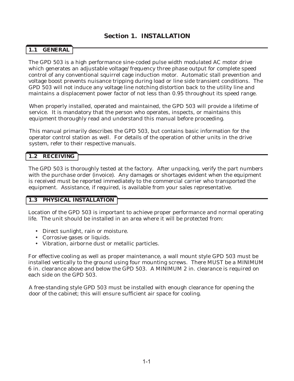# **1.1 GENERAL**

The GPD 503 is a high performance sine-coded pulse width modulated AC motor drive which generates an adjustable voltage/frequency three phase output for complete speed control of any conventional squirrel cage induction motor. Automatic stall prevention and voltage boost prevents nuisance tripping during load or line side transient conditions. The GPD 503 will not induce any voltage line notching distortion back to the utility line and maintains a displacement power factor of not less than 0.95 throughout its speed range.

When properly installed, operated and maintained, the GPD 503 will provide a lifetime of service. It is mandatory that the person who operates, inspects, or maintains this equipment thoroughly read and understand this manual before proceeding.

This manual primarily describes the GPD 503, but contains basic information for the operator control station as well. For details of the operation of other units in the drive system, refer to their respective manuals.

#### **1.2 RECEIVING**

The GPD 503 is thoroughly tested at the factory. After unpacking, verify the part numbers with the purchase order (invoice). Any damages or shortages evident when the equipment is received must be reported immediately to the commercial carrier who transported the equipment. Assistance, if required, is available from your sales representative.

#### **1.3 PHYSICAL INSTALLATION**

Location of the GPD 503 is important to achieve proper performance and normal operating life. The unit should be installed in an area where it will be protected from:

- Direct sunlight, rain or moisture.
- Corrosive gases or liquids.
- Vibration, airborne dust or metallic particles.

For effective cooling as well as proper maintenance, a wall mount style GPD 503 must be installed vertically to the ground using four mounting screws. There MUST be a MINIMUM 6 in. clearance above and below the GPD 503. A MINIMUM 2 in. clearance is required on each side on the GPD 503.

A free-standing style GPD 503 must be installed with enough clearance for opening the door of the cabinet; this will ensure sufficient air space for cooling.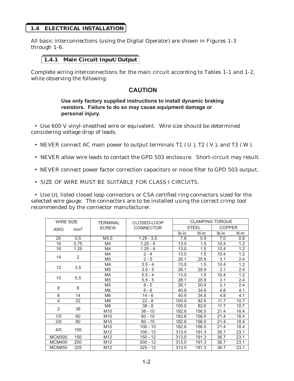#### **1.4 ELECTRICAL INSTALLATION**

All basic interconnections (using the Digital Operator) are shown in Figures 1-3 through 1-6.

#### **1.4.1 Main Circuit Input/Output**

Complete wiring interconnections for the main circuit according to Tables 1-1 and 1-2, while observing the following:

# **CAUTION**

#### **Use only factory supplied instructions to install dynamic braking resistors. Failure to do so may cause equipment damage or personal injury.**

• Use 600 V vinyl-sheathed wire or equivalent. Wire size should be determined considering voltage drop of leads.

- NEVER connect AC main power to output terminals T1 (U), T2 (V), and T3 (W).
- NEVER allow wire leads to contact the GPD 503 enclosure. Short-circuit may result.
- NEVER connect power factor correction capacitors or noise filter to GPD 503 output.
- SIZE OF WIRE MUST BE SUITABLE FOR CLASS I CIRCUITS.

• Use UL listed closed loop connectors or CSA certified ring connectors sized for the selected wire gauge. The connectors are to be installed using the correct crimp tool recommended by the connector manufacturer.

| <b>WIRE SIZE</b><br>mm <sup>2</sup><br><b>AWG</b> |      | TFRMINAI        | CLOSED-LOOP      |         | <b>CLAMPING TORQUE</b> |               |       |  |  |
|---------------------------------------------------|------|-----------------|------------------|---------|------------------------|---------------|-------|--|--|
|                                                   |      | <b>SCREW</b>    | <b>CONNECTOR</b> |         | <b>STEEL</b>           | <b>COPPER</b> |       |  |  |
|                                                   |      |                 |                  | $Ib-in$ | $N-m$                  | $Ib-in$       | $N-m$ |  |  |
| 20                                                | 0.5  | M3.5            | $1.25 - 3.5$     | 7.8     | 0.9                    | 7.0           | 0.8   |  |  |
| 18                                                | 0.75 | M4              | $1.25 - 4$       | 13.0    | 1.5                    | 10.4          | 1.2   |  |  |
| 16                                                | 1.25 | M4              | $1.25 - 4$       | 13.0    | 1.5                    | 10.4          | 1.2   |  |  |
|                                                   |      | M4              | $2 - 4$          | 13.0    | 1.5                    | 10.4          | 1.2   |  |  |
| 14                                                | 2    | M <sub>5</sub>  | $2 - 5$          | 26.1    | 20.9                   | 3.1           | 2.4   |  |  |
|                                                   |      | M4              | $3.5 - 4$        | 13.0    | 1.5                    | 10.4          | 1.2   |  |  |
| 12                                                | 3.5  | M <sub>5</sub>  | $3.5 - 5$        | 26.1    | 20.9                   | 3.1           | 2.4   |  |  |
|                                                   | 5.5  | M4              | $5.5 - 4$        | 13.0    | 1.5                    | 10.4          | 1.2   |  |  |
| 10                                                |      | M <sub>5</sub>  | $5.5 - 5$        | 26.1    | 20.9                   | 3.1           | 2.4   |  |  |
|                                                   | 8    | M <sub>5</sub>  | $8 - 5$          | 26.1    | 20.9                   | 3.1           | 2.4   |  |  |
| 8                                                 |      | M <sub>6</sub>  | $8 - 6$          | 40.9    | 34.8                   | 4.8           | 4.1   |  |  |
| 6                                                 | 14   | M <sub>6</sub>  | $14 - 6$         | 40.9    | 34.8                   | 4.8           | 4.1   |  |  |
| 4                                                 | 22   | M <sub>8</sub>  | $22 - 8$         | 100.0   | 82.6                   | 11.7          | 10.7  |  |  |
| 2                                                 |      | M <sub>8</sub>  | $38 - 8$         | 100.0   | 82.6                   | 11.7          | 10.7  |  |  |
|                                                   | 38   | M <sub>10</sub> | $38 - 10$        | 182.6   | 156.5                  | 21.4          | 18.4  |  |  |
| 1/0                                               | 60   | M <sub>10</sub> | $60 - 10$        | 182.6   | 156.5                  | 21.4          | 18.4  |  |  |
| 3/0                                               | 80   | M <sub>10</sub> | $80 - 10$        | 182.6   | 156.5                  | 21.4          | 18.4  |  |  |
|                                                   | 100  | M <sub>10</sub> | $100 - 10$       | 182.6   | 156.5                  | 21.4          | 18.4  |  |  |
| 4/0                                               |      | M <sub>12</sub> | $100 - 12$       | 313.0   | 191.3                  | 36.7          | 23.1  |  |  |
| <b>MCM300</b>                                     | 150  | M <sub>12</sub> | $150 - 12$       | 313.0   | 191.3                  | 36.7          | 23.1  |  |  |
| <b>MCM400</b>                                     | 200  | M12             | $200 - 12$       | 313.0   | 191.3                  | 36.7          | 23.1  |  |  |
| <b>MCM650</b>                                     | 325  | M <sub>12</sub> | $325 - 12$       | 313.0   | 191.3                  | 36.7          | 23.1  |  |  |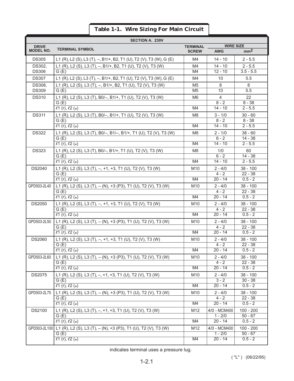# **Table 1-1. Wire Sizing For Main Circuit**

| <b>SECTION A. 230V</b> |                                                                                     |                 |                           |                          |  |  |  |
|------------------------|-------------------------------------------------------------------------------------|-----------------|---------------------------|--------------------------|--|--|--|
| <b>DRIVE</b>           | <b>TERMINAL SYMBOL</b>                                                              | <b>TERMINAL</b> | <b>WIRE SIZE</b>          |                          |  |  |  |
| <b>MODEL NO.</b>       |                                                                                     | <b>SCREW</b>    | <b>AWG</b>                | mm <sup>2</sup>          |  |  |  |
| <b>DS305</b>           | L1 (R), L2 (S), L3 (T), $-$ , B1/+, B2, T1 (U), T2 (V), T3 (W), G (E)               | M4              | $14 - 10$                 | $2 - 5.5$                |  |  |  |
| <b>DS302.</b>          | L1 (R), L2 (S), L3 (T), -, B1/+, B2, T1 (U), T2 (V), T3 (W)                         | M4              | $14 - 10$                 | $2 - 5.5$                |  |  |  |
| <b>DS306</b>           | G(E)                                                                                | M4              | $12 - 10$                 | $3.5 - 5.5$              |  |  |  |
| <b>DS307</b>           | L1 (R), L2 (S), L3 (T), -, B1/+, B2, T1 (U), T2 (V), T3 (W), G (E)                  | M4              | 10                        | 5.5                      |  |  |  |
| DS308,                 | L1 (R), L2 (S), L3 (T), -, B1/+, B2, T1 (U), T2 (V), T3 (W)                         | M <sub>5</sub>  | 8                         | 8                        |  |  |  |
| <b>DS309</b>           | G(E)                                                                                | M <sub>5</sub>  | 10                        | 5.5                      |  |  |  |
| <b>DS310</b>           | L1 (R), L2 (S), L3 (T), B0/-, B1/+, T1 (U), T2 (V), T3 (W)                          | M6              | 4                         | 22                       |  |  |  |
|                        | G(E)                                                                                |                 | $8 - 2$                   | $8 - 38$                 |  |  |  |
|                        | l1(r), l2(a)                                                                        | M4              | $14 - 10$                 | $2 - 5.5$                |  |  |  |
| <b>DS311</b>           | L1 (R), L2 (S), L3 (T), B0/-, B1/+, T1 (U), T2 (V), T3 (W)                          | M <sub>8</sub>  | $3 - 1/0$                 | $30 - 60$                |  |  |  |
|                        | G(E)                                                                                | M4              | $8 - 2$<br>$14 - 10$      | $8 - 38$<br>$2 - 5.5$    |  |  |  |
|                        | l1(r), l2(s)                                                                        |                 |                           |                          |  |  |  |
| <b>DS322</b>           | L1 (R), L2 (S), L3 (T), B0/-, B1/-, B1/+, T1 (U), T2 (V), T3 (W)<br>G(E)            | M <sub>8</sub>  | $2 - 1/0$<br>$6 - 2$      | $38 - 60$<br>$14 - 38$   |  |  |  |
|                        | l1(r), l2(a)                                                                        | M4              | $14 - 10$                 | $2 - 5.5$                |  |  |  |
| <b>DS323</b>           | L1 (R), L2 (S), L3 (T), B0/-, B1/+, T1 (U), T2 (V), T3 (W)                          | M <sub>8</sub>  | 1/0                       | 60                       |  |  |  |
|                        | G(E)                                                                                |                 | $6 - 2$                   | $14 - 38$                |  |  |  |
|                        | l1(r), l2(a)                                                                        | M4              | $14 - 10$                 | $2 - 5.5$                |  |  |  |
| <b>DS2040</b>          | L1 (R), L2 (S), L3 (T), -, +1, +3, T1 (U), T2 (V), T3 (W)                           | M <sub>10</sub> | $2 - 4/0$                 | $38 - 100$               |  |  |  |
|                        | G(E)                                                                                |                 | $4 - 2$                   | $22 - 38$                |  |  |  |
|                        | l1(r), l2(a)                                                                        | M4              | $20 - 14$                 | $0.5 - 2$                |  |  |  |
| GPD503-2L40            | L1 (R), L2 (S), L3 (T), - (N), +3 (P3), T1 (U), T2 (V), T3 (W)                      | M10             | $2 - 4/0$                 | $38 - 100$               |  |  |  |
|                        | G(E)                                                                                |                 | $4 - 2$                   | $22 - 38$                |  |  |  |
|                        | l1(r), l2(a)                                                                        | M4              | $20 - 14$                 | $0.5 - 2$                |  |  |  |
| <b>DS2050</b>          | L1 (R), L2 (S), L3 (T), -, +1, +3, T1 (U), T2 (V), T3 (W)                           | M <sub>10</sub> | $2 - 4/0$                 | $38 - 100$               |  |  |  |
|                        | G(E)                                                                                |                 | $4 - 2$                   | $22 - 38$                |  |  |  |
|                        | l1(r), l2(a)                                                                        | M4              | $20 - 14$                 | $0.5 - 2$                |  |  |  |
| GPD503-2L50            | L1 (R), L2 (S), L3 (T), - (N), +3 (P3), T1 (U), T2 (V), T3 (W)<br>G(E)              | M <sub>10</sub> | $2 - 4/0$<br>$4 - 2$      | $38 - 100$<br>$22 - 38$  |  |  |  |
|                        | l1(r), l2(a)                                                                        | M4              | $20 - 14$                 | $0.5 - 2$                |  |  |  |
| <b>DS2060</b>          | L1 (R), L2 (S), L3 (T), -, +1, +3, T1 (U), T2 (V), T3 (W)                           | M10             | $2 - 4/0$                 | $38 - 100$               |  |  |  |
|                        | G(E)                                                                                |                 | $4 - 2$                   | $22 - 38$                |  |  |  |
|                        | $\ell$ 1 (r), $\ell$ 2 (4)                                                          | M4              | $20 - 14$                 | $0.5 - 2$                |  |  |  |
| GPD503-2L60            | L1 (R), L2 (S), L3 (T), - (N), +3 (P3), T1 (U), T2 (V), T3 (W)                      | M10             | $2 - 4/0$                 | $38 - 100$               |  |  |  |
|                        | G(E)                                                                                |                 | $4 - 2$                   | $22 - 38$                |  |  |  |
|                        | $\ell$ 1 (r), $\ell$ 2 (a)                                                          | M4              | $20 - 14$                 | $0.5 - 2$                |  |  |  |
| <b>DS2075</b>          | L1 (R), L2 (S), L3 (T), -, +1, +3, T1 (U), T2 (V), T3 (W)                           | M10             | $2 - 4/0$                 | $38 - 100$               |  |  |  |
|                        | G(E)                                                                                |                 | $3 - 2$                   | $30 - 38$                |  |  |  |
|                        | l1(r), l2(s)                                                                        | M4              | $20 - 14$                 | $0.5 - 2$                |  |  |  |
| GPD503-2L75            | L1 (R), L2 (S), L3 (T), - (N), +3 (P3), T1 (U), T2 (V), T3 (W)                      | M10             | $2 - 4/0$                 | $38 - 100$               |  |  |  |
|                        | G(E)                                                                                |                 | $4 - 2$                   | $22 - 38$                |  |  |  |
|                        | l1(r), l2(s)                                                                        | M4              | $20 - 14$                 | $0.5 - 2$                |  |  |  |
| <b>DS2100</b>          | L1 (R), L2 (S), L3 (T), -, +1, +3, T1 (U), T2 (V), T3 (W)                           | M12             | 4/0 - MCM400<br>$1 - 2/0$ | $100 - 200$              |  |  |  |
|                        | G(E)<br>l1(r), l2(a)                                                                | M4              | $20 - 14$                 | $50 - 67$<br>$0.5 - 2$   |  |  |  |
|                        |                                                                                     |                 |                           |                          |  |  |  |
|                        | GPD503-2L100 L1 (R), L2 (S), L3 (T), - (N), +3 (P3), T1 (U), T2 (V), T3 (W)<br>G(E) | M12             | 4/0 - MCM400<br>$1 - 2/0$ | $100 - 200$<br>$50 - 67$ |  |  |  |
|                        | 21 (r), 22 (a)                                                                      | M4              | $20 - 14$                 | $0.5 - 2$                |  |  |  |
|                        |                                                                                     |                 |                           |                          |  |  |  |

indicates terminal uses a pressure lug.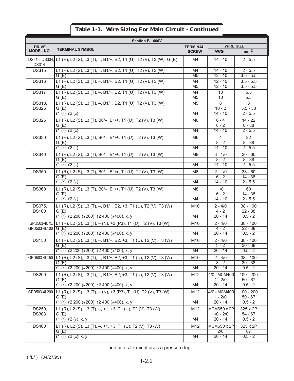| Section B. 460V               |                                                                                       |                      |                            |                         |  |  |
|-------------------------------|---------------------------------------------------------------------------------------|----------------------|----------------------------|-------------------------|--|--|
| <b>DRIVE</b>                  | <b>TERMINAL SYMBOL</b>                                                                | <b>TERMINAL</b>      | <b>WIRE SIZE</b>           |                         |  |  |
| <b>MODEL NO.</b>              |                                                                                       | <b>SCREW</b>         | <b>AWG</b>                 | mm <sup>2</sup>         |  |  |
| DS313, DS304,<br><b>DS314</b> | L1 (R), L2 (S), L3 (T), -, B1/+, B2, T1 (U), T2 (V), T3 (W), G (E)                    | M4                   | $14 - 10$                  | $2 - 5.5$               |  |  |
| <b>DS315</b>                  | L1 (R), L2 (S), L3 (T), -, B1/+, B2, T1 (U), T2 (V), T3 (W)                           | M4                   | $14 - 10$                  | $2 - 5.5$               |  |  |
|                               | G(E)                                                                                  | M <sub>5</sub>       | $12 - 10$                  | $3.5 - 5.5$             |  |  |
| <b>DS316</b>                  | L1 (R), L2 (S), L3 (T), -, B1/+, B2, T1 (U), T2 (V), T3 (W)                           | M4<br>M <sub>5</sub> | $12 - 10$<br>$12 - 10$     | $3.5 - 5.5$             |  |  |
| <b>DS317</b>                  | G(E)<br>L1 (R), L2 (S), L3 (T), -, B1/+, B2, T1 (U), T2 (V), T3 (W)                   | M4                   | 10                         | $3.5 - 5.5$<br>5.5      |  |  |
|                               | G(E)                                                                                  | M <sub>5</sub>       | 10                         | 5.5                     |  |  |
| DS318,                        | L1 (R), L2 (S), L3 (T), -, B1/+, B2, T1 (U), T2 (V), T3 (W)                           | M <sub>5</sub>       | 8                          | 8                       |  |  |
| <b>DS326</b>                  | G(E)                                                                                  |                      | $10 - 2$                   | $5.5 - 38$              |  |  |
|                               | l1(r), l2(s)                                                                          | M4                   | $14 - 10$                  | $2 - 5.5$               |  |  |
| <b>DS325</b>                  | L1 (R), L2 (S), L3 (T), B0/-, B1/+, T1 (U), T2 (V), T3 (W)                            | M <sub>6</sub>       | $6 - 4$                    | $14 - 22$               |  |  |
|                               | G(E)                                                                                  |                      | $8 - 2$                    | $8 - 38$                |  |  |
|                               | $l1$ (r), $l2$ (a)                                                                    | M4                   | $14 - 10$                  | $2 - 5.5$               |  |  |
| <b>DS330</b>                  | L1 (R), L2 (S), L3 (T), B0/-, B1/+, T1 (U), T2 (V), T3 (W)<br>G(E)                    | M <sub>6</sub>       | $\overline{4}$<br>$8 - 2$  | 22<br>$8 - 38$          |  |  |
|                               | $l1(\overline{(r)}, l2(\overline{a})$                                                 | M4                   | $14 - 10$                  | $2 - 5.5$               |  |  |
| <b>DS340</b>                  | L1 (R), L2 (S), L3 (T), B0/-, B1/+, T1 (U), T2 (V), T3 (W)                            | M8                   | $3 - 1/0$                  | $30 - 60$               |  |  |
|                               | G(E)                                                                                  |                      | $8 - 2$                    | $8 - 38$                |  |  |
|                               | $\ell$ 1 (r), $\ell$ 2 (a)                                                            | M4                   | $14 - 10$                  | $2 - 5.5$               |  |  |
| <b>DS350</b>                  | L1 (R), L2 (S), L3 (T), B0/-, B1/+, T1 (U), T2 (V), T3 (W)                            | M8                   | $2 - 1/0$                  | $38 - 60$               |  |  |
|                               | G(E)                                                                                  |                      | $6 - 2$                    | $14 - 38$               |  |  |
|                               | $l1(\overline{(r)}, l2(\overline{a})$                                                 | M4                   | $14 - 10$                  | $2 - 5.5$               |  |  |
| <b>DS360</b>                  | L1 (R), L2 (S), L3 (T), B0/-, B1/+, T1 (U), T2 (V), T3 (W)                            | M8                   | 1/0                        | 60                      |  |  |
|                               | G(E)<br>21 (r), 22 (a)                                                                | M4                   | $6 - 2$<br>$14 - 10$       | $14 - 38$<br>$2 - 5.5$  |  |  |
|                               |                                                                                       |                      |                            |                         |  |  |
| DS075,<br><b>DS100</b>        | L1 (R), L2 (S), L3 (T), -, B1/+, B2, +3, T1 (U), T2 (V), T3 (W)<br>G(E)               | M10                  | $2 - 4/0$<br>$4 - 2$       | $38 - 100$<br>$22 - 38$ |  |  |
|                               | $\ell$ 1 (r), $\ell$ 2 200 ( $\ell$ 200), $\ell$ 2 400 ( $\ell$ 400), x, y            | M4                   | $20 - 14$                  | $0.5 - 2$               |  |  |
|                               | GPD503-4L75, L1 (R), L2 (S), L3 (T), - (N), +3 (P3), T1 (U), T2 (V), T3 (W)           | M10                  | $2 - 4/0$                  | $38 - 100$              |  |  |
| GPD503-4L100                  | G(E)                                                                                  |                      | $4 - 2$                    | $22 - 38$               |  |  |
|                               | $\ell$ 1 (r), $\ell$ 2 200 ( $\ell$ 200), $\ell$ 2 400 ( $\ell$ 400), x, y            | M4                   | $20 - 14$                  | $0.5 - 2$               |  |  |
| <b>DS150</b>                  | L1 (R), L2 (S), L3 (T), -, B1/+, B2, +3, T1 (U), T2 (V), T3 (W)                       | M10                  | $2 - 4/0$                  | $38 - 100$              |  |  |
|                               | G(E)                                                                                  |                      | $3 - 2$                    | $30 - 38$               |  |  |
|                               | $\ell$ 1 (r), $\ell$ 2 200 ( $\ell$ 200), $\ell$ 2 400 ( $\ell$ 400), x, y            | M4                   | $20 - 14$                  | $0.5 - 2$               |  |  |
|                               | GPD503-4L150 L1 (R), L2 (S), L3 (T), -, B1/+, B2, +3, T1 (U), T2 (V), T3 (W)<br>G (E) | M10                  | $2 - 4/0$<br>$3 - 2$       | $38 - 100$<br>$30 - 38$ |  |  |
|                               | $\ell$ 1 (r), $\ell$ 2 200 ( $\epsilon$ 200), $\ell$ 2 400 ( $\epsilon$ 400), x, y    | M4                   | $20 - 14$                  | $0.5 - 2$               |  |  |
| <b>DS200</b>                  | L1 (R), L2 (S), L3 (T), -, B1/+, B2, +3, T1 (U), T2 (V), T3 (W)                       | M12                  | 4/0 - MCM400               | $100 - 200$             |  |  |
|                               | G(E)                                                                                  |                      | $1 - 2/0$                  | $50 - 67$               |  |  |
|                               | $\ell$ 1 (r), $\ell$ 2 200 ( $\epsilon$ 200), $\ell$ 2 400 ( $\epsilon$ 400), x, y    | M4                   | $20 - 14$                  | $0.5 - 2$               |  |  |
| GPD503-4L200                  | L1 (R), L2 (S), L3 (T), - (N), +3 (P3), T1 (U), T2 (V), T3 (W)                        | M12                  | 4/0 - MCM400               | $100 - 200$             |  |  |
|                               | G(E)                                                                                  |                      | $1 - 2/0$                  | $50 - 67$               |  |  |
|                               | $\ell$ 1 (r), $\ell$ 2 200 ( $\epsilon$ 200), $\ell$ 2 400 ( $\epsilon$ 400), x, y    | M4                   | $20 - 14$                  | $0.5 - 2$               |  |  |
| DS250,<br><b>DS303</b>        | L1 (R), L2 (S), L3 (T), -, +1, +3, T1 (U), T2 (V), T3 (W)<br>G(E)                     | M12                  | MCM650 x 2P<br>$1/0 - 2/0$ | 325 x 2P<br>$54 - 67$   |  |  |
|                               | $l1$ (r), $l2$ (a), x, y                                                              | M4                   | $20 - 14$                  | $0.5 - 2$               |  |  |
| <b>DS400</b>                  | L1 (R), L2 (S), L3 (T), -, +1, +3, T1 (U), T2 (V), T3 (W)                             | M12                  | MCM650 x 2P                | 325 x 2P                |  |  |
|                               | G(E)                                                                                  |                      | 2/0                        | 67                      |  |  |
|                               | $l1$ (r), $l2$ (a), x, y                                                              | M4                   | $20 - 14$                  | $0.5 - 2$               |  |  |

# **Table 1-1. Wire Sizing For Main Circuit - Continued**

indicates terminal uses a pressure lug.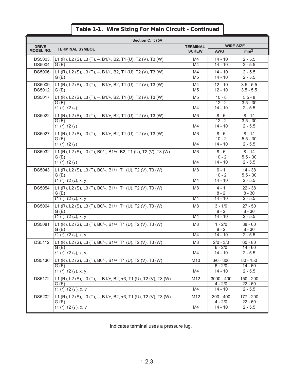|                  | Section C. 575V                                                        |                 |                          |                         |  |
|------------------|------------------------------------------------------------------------|-----------------|--------------------------|-------------------------|--|
| <b>DRIVE</b>     | <b>TERMINAL SYMBOL</b>                                                 | <b>TERMINAL</b> | <b>WIRE SIZE</b>         |                         |  |
| <b>MODEL NO.</b> |                                                                        | <b>SCREW</b>    | <b>AWG</b>               | mm <sup>2</sup>         |  |
| DS5003.          | L1 (R), L2 (S), L3 (T), -, B1/+, B2, T1 (U), T2 (V), T3 (W)            | M4              | 14 - 10                  | $2 - 5.5$               |  |
| <b>DS5004</b>    | G(E)                                                                   | M4              | $14 - 10$                | $2 - 5.5$               |  |
| <b>DS5006</b>    | L1 (R), L2 (S), L3 (T), -, B1/+, B2, T1 (U), T2 (V), T3 (W)            | M4              | $14 - 10$                | $2 - 5.5$               |  |
|                  | G(E)                                                                   | M <sub>5</sub>  | $14 - 10$                | $2 - 5.5$               |  |
| DS5009.          | L1 (R), L2 (S), L3 (T), -, B1/+, B2, T1 (U), T2 (V), T3 (W)            | M4              | $12 - 10$                | $3.5 - 5.5$             |  |
| <b>DS5012</b>    | G(E)                                                                   | M <sub>5</sub>  | $12 - 10$                | $3.5 - 5.5$             |  |
| <b>DS5017</b>    | L1 (R), L2 (S), L3 (T), -, B1/+, B2, T1 (U), T2 (V), T3 (W)            | M <sub>5</sub>  | $10 - 8$                 | $5.5 - 8$               |  |
|                  | G(E)                                                                   |                 | $12 - 2$                 | $3.5 - 30$              |  |
|                  | l1(r), l2(s)                                                           | M4              | $14 - 10$                | $2 - 5.5$               |  |
| <b>DS5022</b>    | L1 (R), L2 (S), L3 (T), -, B1/+, B2, T1 (U), T2 (V), T3 (W)            | M6              | $8 - 6$                  | $8 - 14$                |  |
|                  | G(E)<br>l1(r), l2(s)                                                   | M4              | $12 - 2$<br>$14 - 10$    | $3.5 - 30$<br>$2 - 5.5$ |  |
|                  |                                                                        |                 |                          |                         |  |
| <b>DS5027</b>    | L1 (R), L2 (S), L3 (T), -, B1/+, B2, T1 (U), T2 (V), T3 (W)            | M <sub>6</sub>  | $8 - 6$<br>$10 - 2$      | $8 - 14$                |  |
|                  | G(E)<br>l1(r), l2(a)                                                   | M4              | $14 - 10$                | $5.5 - 30$<br>$2 - 5.5$ |  |
|                  |                                                                        |                 |                          | $8 - 14$                |  |
| <b>DS5032</b>    | L1 (R), L2 (S), L3 (T), B0/-, B1/+, B2, T1 (U), T2 (V), T3 (W)<br>G(E) | M6              | $8 - 6$<br>$10 - 2$      | $5.5 - 30$              |  |
|                  | l1(r), l2(a)                                                           | M4              | $14 - 10$                | $2 - 5.5$               |  |
| <b>DS5043</b>    | L1 (R), L2 (S), L3 (T), B0/-, B1/+, T1 (U), T2 (V), T3 (W)             | M <sub>8</sub>  | $6 - 1$                  | $14 - 38$               |  |
|                  | G(E)                                                                   |                 | $10 - 2$                 | $5.5 - 30$              |  |
|                  | $l1$ (r), $l2$ (a), x, y                                               | M4              | $14 - 10$                | $2 - 5.5$               |  |
| <b>DS5054</b>    | L1 (R), L2 (S), L3 (T), B0/-, B1/+, T1 (U), T2 (V), T3 (W)             | M8              | $4 - 1$                  | $22 - 38$               |  |
|                  | G(E)                                                                   |                 | $8 - 2$                  | $8 - 30$                |  |
|                  | $l1$ (r), $l2$ (a), x, y                                               | M4              | $14 - 10$                | $2 - 5.5$               |  |
| <b>DS5064</b>    | L1 (R), L2 (S), L3 (T), B0/-, B1/+, T1 (U), T2 (V), T3 (W)             | M8              | $3 - 1/0$                | $27 - 50$               |  |
|                  | G(E)                                                                   |                 | $8 - 2$                  | $8 - 30$                |  |
|                  | $l1$ (r), $l2$ (a), x, y                                               | M4              | $14 - 10$                | $2 - 5.5$               |  |
| <b>DS5081</b>    | L1 (R), L2 (S), L3 (T), B0/-, B1/+, T1 (U), T2 (V), T3 (W)             | M8              | $1 - 2/0$                | $38 - 60$               |  |
|                  | G(E)                                                                   |                 | $8 - 2$<br>$14 - 10$     | $8 - 30$<br>$2 - 5.5$   |  |
|                  | $(1)(r)$ , $(2)(x)$ , x, y                                             | M4              |                          |                         |  |
| <b>DS5112</b>    | L1 (R), L2 (S), L3 (T), B0/-, B1/+, T1 (U), T2 (V), T3 (W)             | M8              | $2/0 - 3/0$              | $60 - 80$               |  |
|                  | G(E)<br>21 (r), 22 (a), x, y                                           | M4              | $6 - 2/0$<br>$14 - 10$   | $14 - 60$<br>$2 - 5.5$  |  |
|                  |                                                                        |                 |                          |                         |  |
| DS5130           | L1 (R), L2 (S), L3 (T), B0/-, B1/+, T1 (U), T2 (V), T3 (W)<br>G(E)     | M10             | $3/0 - 300$<br>$6 - 2/0$ | $80 - 150$<br>$14 - 60$ |  |
|                  | $l1$ (r), $l2$ (a), x, y                                               | M4              | $14 - 10$                | $2 - 5.5$               |  |
| DS5172           | L1 (R), L2 (S), L3 (T), -, B1/+, B2, +3, T1 (U), T2 (V), T3 (W)        | M12             | $3000 - 400$             | 150 - 200               |  |
|                  | G(E)                                                                   |                 | $4 - 2/0$                | $22 - 60$               |  |
|                  | $\overline{\ell 1}$ (r), $\ell 2$ (a), x, y                            | M4              | $14 - 10$                | $2 - 5.5$               |  |
| DS5202           | L1 (R), L2 (S), L3 (T), -, B1/+, B2, +3, T1 (U), T2 (V), T3 (W)        | M12             | $300 - 400$              | 177 - 200               |  |
|                  | G(E)                                                                   |                 | $4 - 2/0$                | $22 - 60$               |  |
|                  | $21$ (r), $22$ (a), x, y                                               | M4              | $14 - 10$                | $2 - 5.5$               |  |

indicates terminal uses a pressure lug.